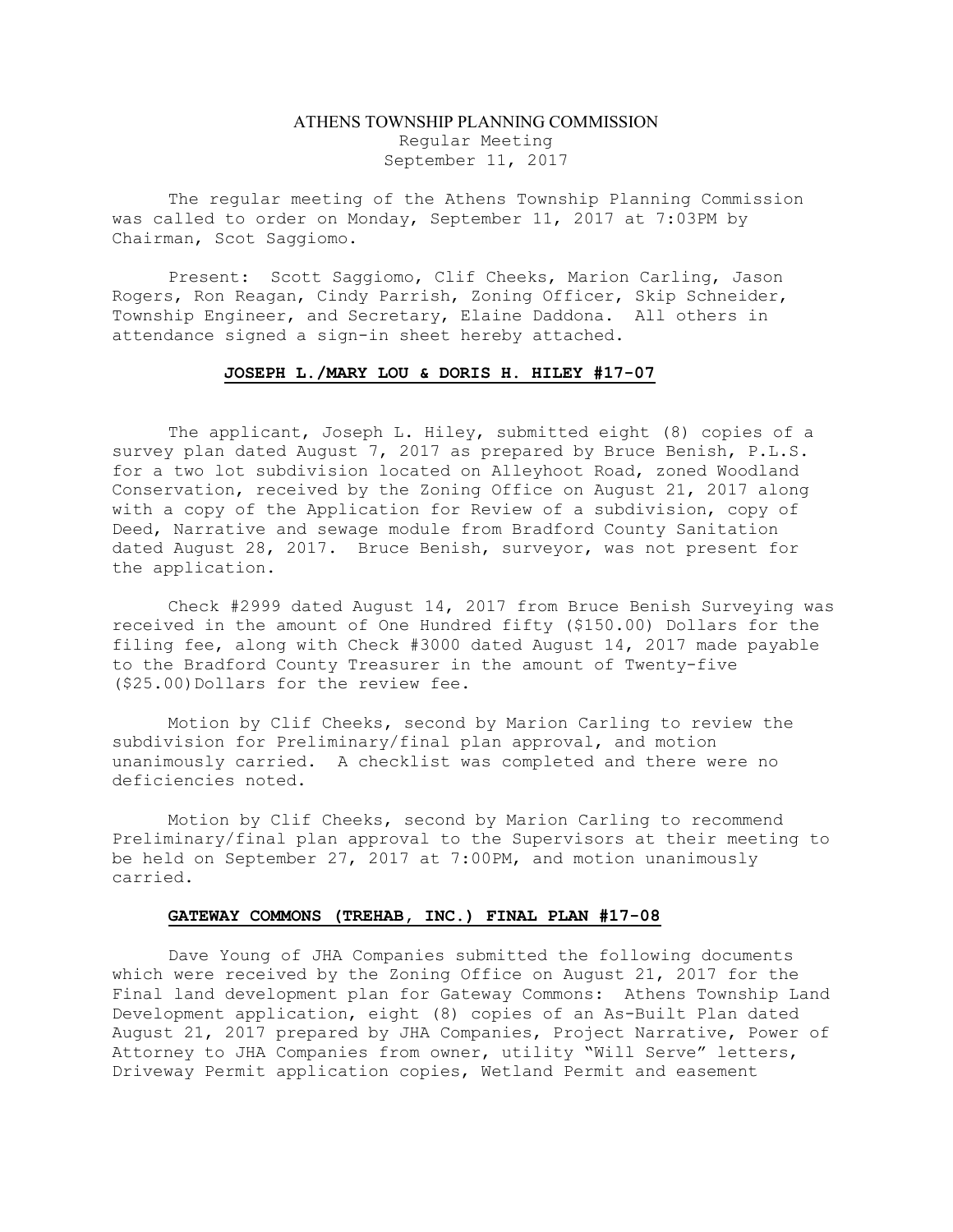## ATHENS TOWNSHIP PLANNING COMMISSION Regular Meeting September 11, 2017

The regular meeting of the Athens Township Planning Commission was called to order on Monday, September 11, 2017 at 7:03PM by Chairman, Scot Saggiomo.

Present: Scott Saggiomo, Clif Cheeks, Marion Carling, Jason Rogers, Ron Reagan, Cindy Parrish, Zoning Officer, Skip Schneider, Township Engineer, and Secretary, Elaine Daddona. All others in attendance signed a sign-in sheet hereby attached.

## JOSEPH L./MARY LOU & DORIS H. HILEY #17-07

The applicant, Joseph L. Hiley, submitted eight (8) copies of a survey plan dated August 7, 2017 as prepared by Bruce Benish, P.L.S. for a two lot subdivision located on Alleyhoot Road, zoned Woodland Conservation, received by the Zoning Office on August 21, 2017 along with a copy of the Application for Review of a subdivision, copy of Deed, Narrative and sewage module from Bradford County Sanitation dated August 28, 2017. Bruce Benish, surveyor, was not present for the application.

 Check #2999 dated August 14, 2017 from Bruce Benish Surveying was received in the amount of One Hundred fifty (\$150.00) Dollars for the filing fee, along with Check #3000 dated August 14, 2017 made payable to the Bradford County Treasurer in the amount of Twenty-five (\$25.00)Dollars for the review fee.

 Motion by Clif Cheeks, second by Marion Carling to review the subdivision for Preliminary/final plan approval, and motion unanimously carried. A checklist was completed and there were no deficiencies noted.

Motion by Clif Cheeks, second by Marion Carling to recommend Preliminary/final plan approval to the Supervisors at their meeting to be held on September 27, 2017 at 7:00PM, and motion unanimously carried.

## GATEWAY COMMONS (TREHAB, INC.) FINAL PLAN #17-08

 Dave Young of JHA Companies submitted the following documents which were received by the Zoning Office on August 21, 2017 for the Final land development plan for Gateway Commons: Athens Township Land Development application, eight (8) copies of an As-Built Plan dated August 21, 2017 prepared by JHA Companies, Project Narrative, Power of Attorney to JHA Companies from owner, utility "Will Serve" letters, Driveway Permit application copies, Wetland Permit and easement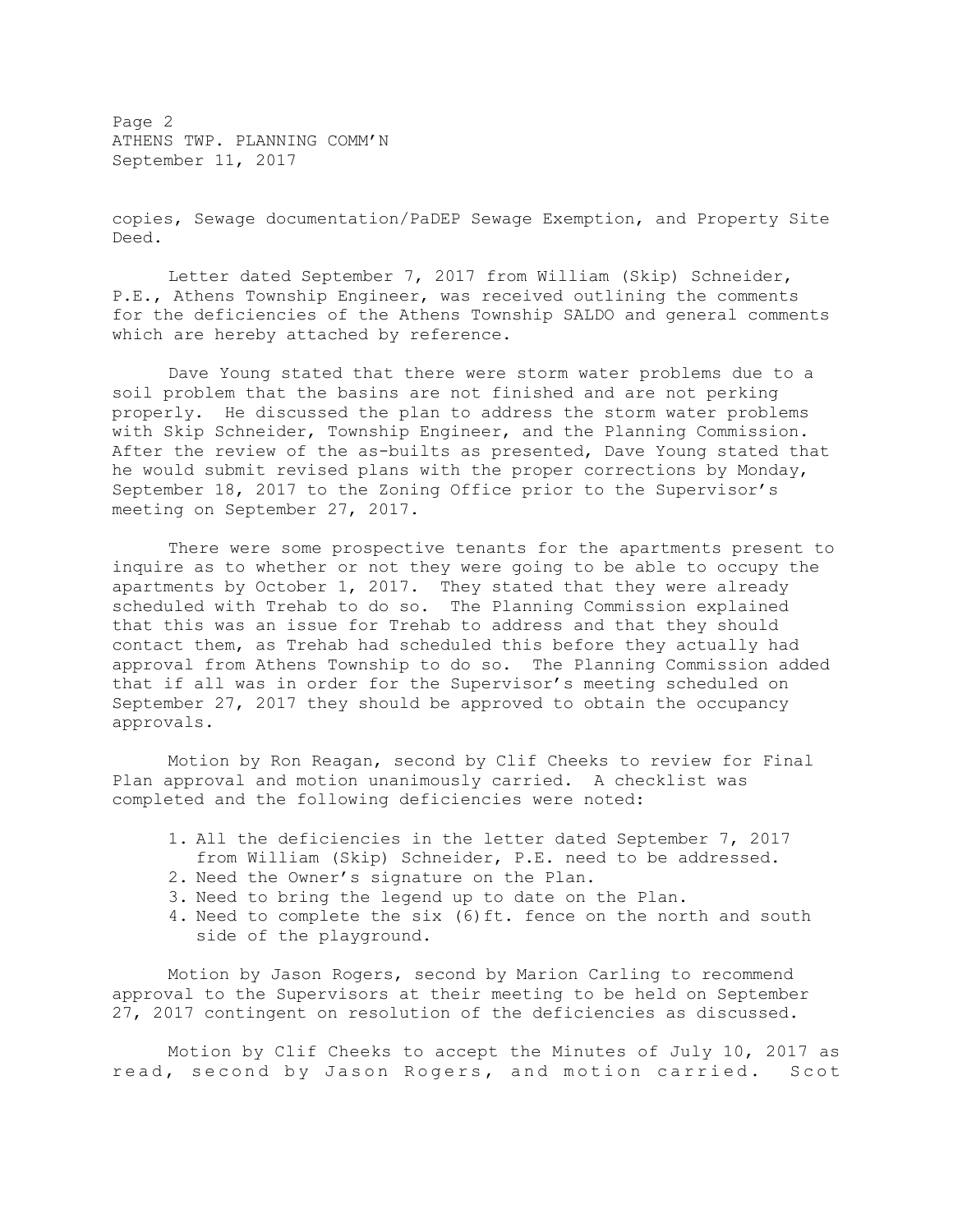Page 2 ATHENS TWP. PLANNING COMM'N September 11, 2017

copies, Sewage documentation/PaDEP Sewage Exemption, and Property Site Deed.

Letter dated September 7, 2017 from William (Skip) Schneider, P.E., Athens Township Engineer, was received outlining the comments for the deficiencies of the Athens Township SALDO and general comments which are hereby attached by reference.

 Dave Young stated that there were storm water problems due to a soil problem that the basins are not finished and are not perking properly. He discussed the plan to address the storm water problems with Skip Schneider, Township Engineer, and the Planning Commission. After the review of the as-builts as presented, Dave Young stated that he would submit revised plans with the proper corrections by Monday, September 18, 2017 to the Zoning Office prior to the Supervisor's meeting on September 27, 2017.

 There were some prospective tenants for the apartments present to inquire as to whether or not they were going to be able to occupy the apartments by October 1, 2017. They stated that they were already scheduled with Trehab to do so. The Planning Commission explained that this was an issue for Trehab to address and that they should contact them, as Trehab had scheduled this before they actually had approval from Athens Township to do so. The Planning Commission added that if all was in order for the Supervisor's meeting scheduled on September 27, 2017 they should be approved to obtain the occupancy approvals.

 Motion by Ron Reagan, second by Clif Cheeks to review for Final Plan approval and motion unanimously carried. A checklist was completed and the following deficiencies were noted:

- 1. All the deficiencies in the letter dated September 7, 2017 from William (Skip) Schneider, P.E. need to be addressed.
- 2. Need the Owner's signature on the Plan.
- 3. Need to bring the legend up to date on the Plan.
- 4. Need to complete the six (6)ft. fence on the north and south side of the playground.

Motion by Jason Rogers, second by Marion Carling to recommend approval to the Supervisors at their meeting to be held on September 27, 2017 contingent on resolution of the deficiencies as discussed.

 Motion by Clif Cheeks to accept the Minutes of July 10, 2017 as read, second by Jason Rogers, and motion carried. Scot